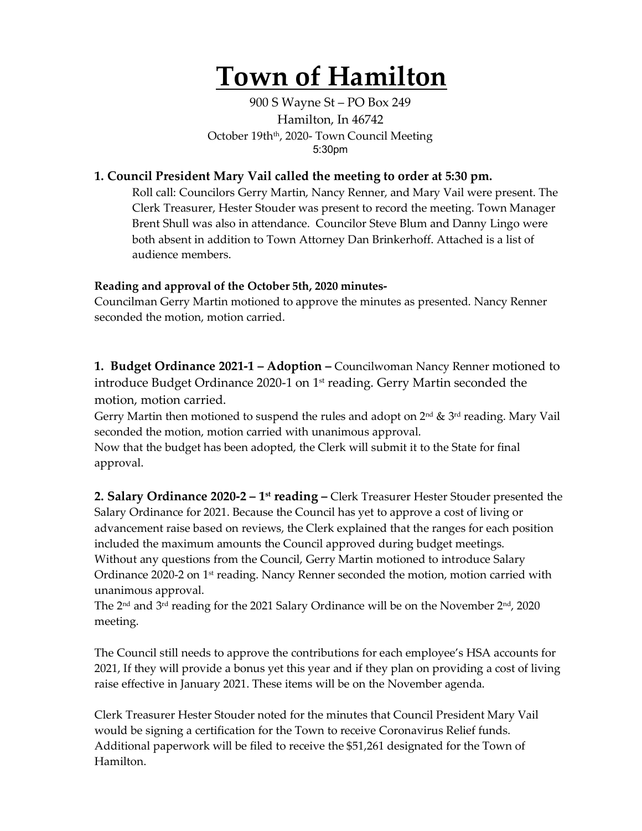## **Town of Hamilton**

900 S Wayne St – PO Box 249 Hamilton, In 46742 October 19th<sup>th</sup>, 2020- Town Council Meeting 5:30pm

## **1. Council President Mary Vail called the meeting to order at 5:30 pm.**

Roll call: Councilors Gerry Martin, Nancy Renner, and Mary Vail were present. The Clerk Treasurer, Hester Stouder was present to record the meeting. Town Manager Brent Shull was also in attendance. Councilor Steve Blum and Danny Lingo were both absent in addition to Town Attorney Dan Brinkerhoff. Attached is a list of audience members.

## **Reading and approval of the October 5th, 2020 minutes-**

Councilman Gerry Martin motioned to approve the minutes as presented. Nancy Renner seconded the motion, motion carried.

**1. Budget Ordinance 2021-1 – Adoption –** Councilwoman Nancy Renner motioned to introduce Budget Ordinance 2020-1 on 1<sup>st</sup> reading. Gerry Martin seconded the motion, motion carried.

Gerry Martin then motioned to suspend the rules and adopt on  $2^{nd}$  &  $3^{rd}$  reading. Mary Vail seconded the motion, motion carried with unanimous approval.

Now that the budget has been adopted, the Clerk will submit it to the State for final approval.

**2. Salary Ordinance 2020-2 – 1st reading –** Clerk Treasurer Hester Stouder presented the Salary Ordinance for 2021. Because the Council has yet to approve a cost of living or advancement raise based on reviews, the Clerk explained that the ranges for each position included the maximum amounts the Council approved during budget meetings. Without any questions from the Council, Gerry Martin motioned to introduce Salary Ordinance 2020-2 on 1<sup>st</sup> reading. Nancy Renner seconded the motion, motion carried with unanimous approval.

The  $2<sup>nd</sup>$  and  $3<sup>rd</sup>$  reading for the 2021 Salary Ordinance will be on the November  $2<sup>nd</sup>$ , 2020 meeting.

The Council still needs to approve the contributions for each employee's HSA accounts for 2021, If they will provide a bonus yet this year and if they plan on providing a cost of living raise effective in January 2021. These items will be on the November agenda.

Clerk Treasurer Hester Stouder noted for the minutes that Council President Mary Vail would be signing a certification for the Town to receive Coronavirus Relief funds. Additional paperwork will be filed to receive the \$51,261 designated for the Town of Hamilton.